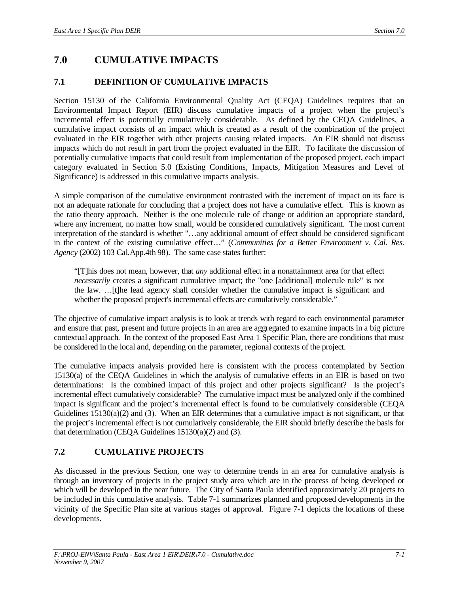# **7.0 CUMULATIVE IMPACTS**

## **7.1 DEFINITION OF CUMULATIVE IMPACTS**

Section 15130 of the California Environmental Quality Act (CEQA) Guidelines requires that an Environmental Impact Report (EIR) discuss cumulative impacts of a project when the project's incremental effect is potentially cumulatively considerable. As defined by the CEQA Guidelines, a cumulative impact consists of an impact which is created as a result of the combination of the project evaluated in the EIR together with other projects causing related impacts. An EIR should not discuss impacts which do not result in part from the project evaluated in the EIR. To facilitate the discussion of potentially cumulative impacts that could result from implementation of the proposed project, each impact category evaluated in Section 5.0 (Existing Conditions, Impacts, Mitigation Measures and Level of Significance) is addressed in this cumulative impacts analysis.

A simple comparison of the cumulative environment contrasted with the increment of impact on its face is not an adequate rationale for concluding that a project does not have a cumulative effect. This is known as the ratio theory approach. Neither is the one molecule rule of change or addition an appropriate standard, where any increment, no matter how small, would be considered cumulatively significant. The most current interpretation of the standard is whether "…any additional amount of effect should be considered significant in the context of the existing cumulative effect…" (*Communities for a Better Environment v. Cal. Res. Agency* (2002) 103 Cal.App.4th 98). The same case states further:

"[T]his does not mean, however, that *any* additional effect in a nonattainment area for that effect *necessarily* creates a significant cumulative impact; the "one [additional] molecule rule" is not the law. …[t]he lead agency shall consider whether the cumulative impact is significant and whether the proposed project's incremental effects are cumulatively considerable."

The objective of cumulative impact analysis is to look at trends with regard to each environmental parameter and ensure that past, present and future projects in an area are aggregated to examine impacts in a big picture contextual approach. In the context of the proposed East Area 1 Specific Plan, there are conditions that must be considered in the local and, depending on the parameter, regional contexts of the project.

The cumulative impacts analysis provided here is consistent with the process contemplated by Section 15130(a) of the CEQA Guidelines in which the analysis of cumulative effects in an EIR is based on two determinations: Is the combined impact of this project and other projects significant? Is the project's incremental effect cumulatively considerable? The cumulative impact must be analyzed only if the combined impact is significant and the project's incremental effect is found to be cumulatively considerable (CEQA Guidelines  $15130(a)(2)$  and (3). When an EIR determines that a cumulative impact is not significant, or that the project's incremental effect is not cumulatively considerable, the EIR should briefly describe the basis for that determination (CEQA Guidelines 15130(a)(2) and (3).

# **7.2 CUMULATIVE PROJECTS**

As discussed in the previous Section, one way to determine trends in an area for cumulative analysis is through an inventory of projects in the project study area which are in the process of being developed or which will be developed in the near future. The City of Santa Paula identified approximately 20 projects to be included in this cumulative analysis. Table 7-1 summarizes planned and proposed developments in the vicinity of the Specific Plan site at various stages of approval. Figure 7-1 depicts the locations of these developments.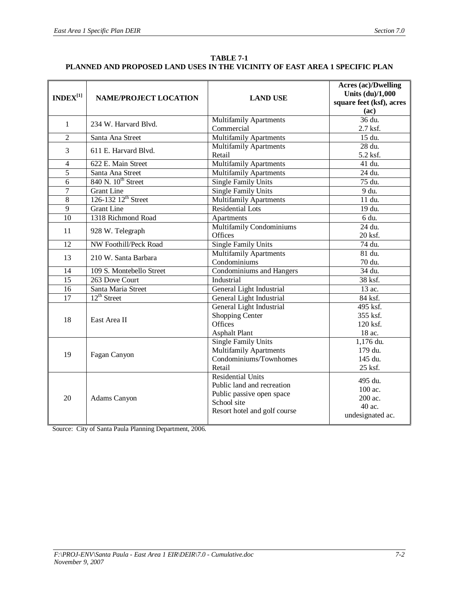| <b>TABLE 7-1</b>                                                            |  |  |  |  |  |  |  |
|-----------------------------------------------------------------------------|--|--|--|--|--|--|--|
| PLANNED AND PROPOSED LAND USES IN THE VICINITY OF EAST AREA 1 SPECIFIC PLAN |  |  |  |  |  |  |  |

| $\mathbf{INDEX}^{[1]}$ | <b>NAME/PROJECT LOCATION</b>    | <b>LAND USE</b>                                                                                                                    | Acres (ac)/Dwelling<br>Units (du)/1,000<br>square feet (ksf), acres<br>(ac) |  |
|------------------------|---------------------------------|------------------------------------------------------------------------------------------------------------------------------------|-----------------------------------------------------------------------------|--|
| $\mathbf{1}$           | 234 W. Harvard Blvd.            | <b>Multifamily Apartments</b>                                                                                                      | 36 du.                                                                      |  |
|                        |                                 | Commercial                                                                                                                         | 2.7 ksf.                                                                    |  |
| $\overline{2}$         | Santa Ana Street                | <b>Multifamily Apartments</b>                                                                                                      | 15 du.                                                                      |  |
| 3                      | 611 E. Harvard Blvd.            | <b>Multifamily Apartments</b><br>Retail                                                                                            | 28 du.<br>5.2 ksf.                                                          |  |
| $\overline{4}$         | 622 E. Main Street              | <b>Multifamily Apartments</b>                                                                                                      | 41 du.                                                                      |  |
| $\overline{5}$         | Santa Ana Street                | <b>Multifamily Apartments</b>                                                                                                      | 24 du.                                                                      |  |
| 6                      | 840 N. 10 <sup>th</sup> Street  | Single Family Units                                                                                                                | 75 du.                                                                      |  |
| $\overline{7}$         | <b>Grant Line</b>               | <b>Single Family Units</b>                                                                                                         | 9 du.                                                                       |  |
| $\overline{8}$         | 126-132 12 <sup>th</sup> Street | <b>Multifamily Apartments</b>                                                                                                      | 11 du.                                                                      |  |
| $\overline{9}$         | <b>Grant Line</b>               | <b>Residential Lots</b>                                                                                                            | 19 du.                                                                      |  |
| 10                     | 1318 Richmond Road              | Apartments                                                                                                                         | 6 du.                                                                       |  |
| 11                     | 928 W. Telegraph                | <b>Multifamily Condominiums</b><br>Offices                                                                                         | 24 du.<br>20 ksf.                                                           |  |
| 12                     | <b>NW Foothill/Peck Road</b>    | Single Family Units                                                                                                                | 74 du.                                                                      |  |
| 13                     | 210 W. Santa Barbara            | <b>Multifamily Apartments</b><br>Condominiums                                                                                      | 81 du.<br>70 du.                                                            |  |
| 14                     | 109 S. Montebello Street        | <b>Condominiums and Hangers</b>                                                                                                    | 34 du.                                                                      |  |
| $\overline{15}$        | 263 Dove Court                  | Industrial                                                                                                                         | 38 ksf.                                                                     |  |
| $\overline{16}$        | Santa Maria Street              | <b>General Light Industrial</b>                                                                                                    | 13 ac.                                                                      |  |
| $\overline{17}$        | $12^{\text{th}}$ Street         | <b>General Light Industrial</b>                                                                                                    | 84 ksf.                                                                     |  |
| 18                     | East Area II                    | <b>General Light Industrial</b><br><b>Shopping Center</b><br>Offices<br><b>Asphalt Plant</b>                                       | 495 ksf.<br>355 ksf.<br>120 ksf.<br>18 ac.                                  |  |
| 19                     | Fagan Canyon                    | Single Family Units<br><b>Multifamily Apartments</b><br>Condominiums/Townhomes<br>Retail                                           | 1,176 du.<br>179 du.<br>145 du.<br>25 ksf.                                  |  |
| 20                     | Adams Canyon                    | <b>Residential Units</b><br>Public land and recreation<br>Public passive open space<br>School site<br>Resort hotel and golf course | 495 du.<br>100 ac.<br>200 ac.<br>40 ac.<br>undesignated ac.                 |  |

Source: City of Santa Paula Planning Department, 2006.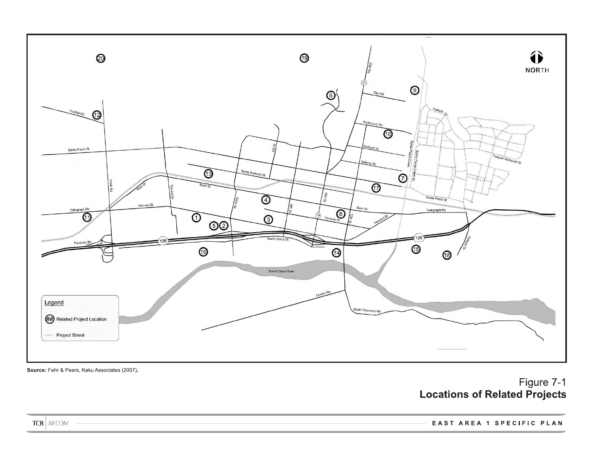

Source: Fehr & Peers, Kaku Associates (2007).

# Figure 7-1 **Locations of Related Projects**

**TCB** AECOM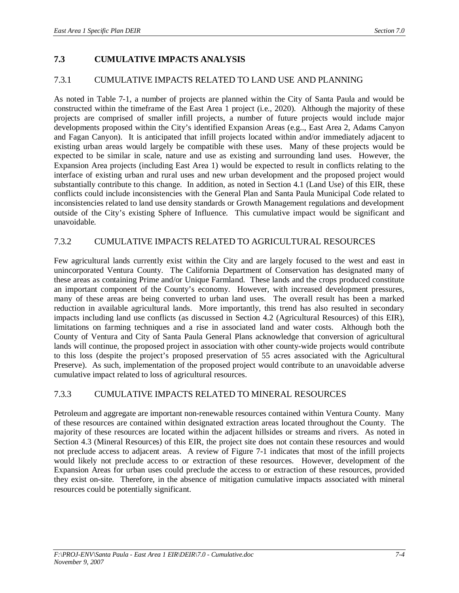# **7.3 CUMULATIVE IMPACTS ANALYSIS**

#### 7.3.1 CUMULATIVE IMPACTS RELATED TO LAND USE AND PLANNING

As noted in Table 7-1, a number of projects are planned within the City of Santa Paula and would be constructed within the timeframe of the East Area 1 project (i.e., 2020). Although the majority of these projects are comprised of smaller infill projects, a number of future projects would include major developments proposed within the City's identified Expansion Areas (e.g.., East Area 2, Adams Canyon and Fagan Canyon). It is anticipated that infill projects located within and/or immediately adjacent to existing urban areas would largely be compatible with these uses. Many of these projects would be expected to be similar in scale, nature and use as existing and surrounding land uses. However, the Expansion Area projects (including East Area 1) would be expected to result in conflicts relating to the interface of existing urban and rural uses and new urban development and the proposed project would substantially contribute to this change. In addition, as noted in Section 4.1 (Land Use) of this EIR, these conflicts could include inconsistencies with the General Plan and Santa Paula Municipal Code related to inconsistencies related to land use density standards or Growth Management regulations and development outside of the City's existing Sphere of Influence. This cumulative impact would be significant and unavoidable.

#### 7.3.2 CUMULATIVE IMPACTS RELATED TO AGRICULTURAL RESOURCES

Few agricultural lands currently exist within the City and are largely focused to the west and east in unincorporated Ventura County. The California Department of Conservation has designated many of these areas as containing Prime and/or Unique Farmland. These lands and the crops produced constitute an important component of the County's economy. However, with increased development pressures, many of these areas are being converted to urban land uses. The overall result has been a marked reduction in available agricultural lands. More importantly, this trend has also resulted in secondary impacts including land use conflicts (as discussed in Section 4.2 (Agricultural Resources) of this EIR), limitations on farming techniques and a rise in associated land and water costs. Although both the County of Ventura and City of Santa Paula General Plans acknowledge that conversion of agricultural lands will continue, the proposed project in association with other county-wide projects would contribute to this loss (despite the project's proposed preservation of 55 acres associated with the Agricultural Preserve). As such, implementation of the proposed project would contribute to an unavoidable adverse cumulative impact related to loss of agricultural resources.

#### 7.3.3 CUMULATIVE IMPACTS RELATED TO MINERAL RESOURCES

Petroleum and aggregate are important non-renewable resources contained within Ventura County. Many of these resources are contained within designated extraction areas located throughout the County. The majority of these resources are located within the adjacent hillsides or streams and rivers. As noted in Section 4.3 (Mineral Resources) of this EIR, the project site does not contain these resources and would not preclude access to adjacent areas. A review of Figure 7-1 indicates that most of the infill projects would likely not preclude access to or extraction of these resources. However, development of the Expansion Areas for urban uses could preclude the access to or extraction of these resources, provided they exist on-site. Therefore, in the absence of mitigation cumulative impacts associated with mineral resources could be potentially significant.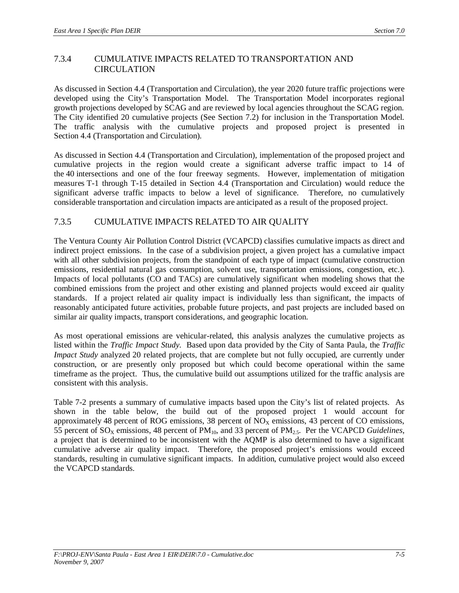### 7.3.4 CUMULATIVE IMPACTS RELATED TO TRANSPORTATION AND **CIRCULATION**

As discussed in Section 4.4 (Transportation and Circulation), the year 2020 future traffic projections were developed using the City's Transportation Model. The Transportation Model incorporates regional growth projections developed by SCAG and are reviewed by local agencies throughout the SCAG region. The City identified 20 cumulative projects (See Section 7.2) for inclusion in the Transportation Model. The traffic analysis with the cumulative projects and proposed project is presented in Section 4.4 (Transportation and Circulation).

As discussed in Section 4.4 (Transportation and Circulation), implementation of the proposed project and cumulative projects in the region would create a significant adverse traffic impact to 14 of the 40 intersections and one of the four freeway segments. However, implementation of mitigation measures T-1 through T-15 detailed in Section 4.4 (Transportation and Circulation) would reduce the significant adverse traffic impacts to below a level of significance. Therefore, no cumulatively considerable transportation and circulation impacts are anticipated as a result of the proposed project.

### 7.3.5 CUMULATIVE IMPACTS RELATED TO AIR QUALITY

The Ventura County Air Pollution Control District (VCAPCD) classifies cumulative impacts as direct and indirect project emissions. In the case of a subdivision project, a given project has a cumulative impact with all other subdivision projects, from the standpoint of each type of impact (cumulative construction emissions, residential natural gas consumption, solvent use, transportation emissions, congestion, etc.). Impacts of local pollutants (CO and TACs) are cumulatively significant when modeling shows that the combined emissions from the project and other existing and planned projects would exceed air quality standards. If a project related air quality impact is individually less than significant, the impacts of reasonably anticipated future activities, probable future projects, and past projects are included based on similar air quality impacts, transport considerations, and geographic location.

As most operational emissions are vehicular-related, this analysis analyzes the cumulative projects as listed within the *Traffic Impact Study*. Based upon data provided by the City of Santa Paula, the *Traffic Impact Study* analyzed 20 related projects, that are complete but not fully occupied, are currently under construction, or are presently only proposed but which could become operational within the same timeframe as the project. Thus, the cumulative build out assumptions utilized for the traffic analysis are consistent with this analysis.

Table 7-2 presents a summary of cumulative impacts based upon the City's list of related projects. As shown in the table below, the build out of the proposed project 1 would account for approximately 48 percent of ROG emissions, 38 percent of  $NO<sub>x</sub>$  emissions, 43 percent of CO emissions, 55 percent of  $SO_x$  emissions, 48 percent of  $PM_{10}$ , and 33 percent of  $PM_{2.5}$ . Per the VCAPCD *Guidelines*, a project that is determined to be inconsistent with the AQMP is also determined to have a significant cumulative adverse air quality impact. Therefore, the proposed project's emissions would exceed standards, resulting in cumulative significant impacts. In addition, cumulative project would also exceed the VCAPCD standards.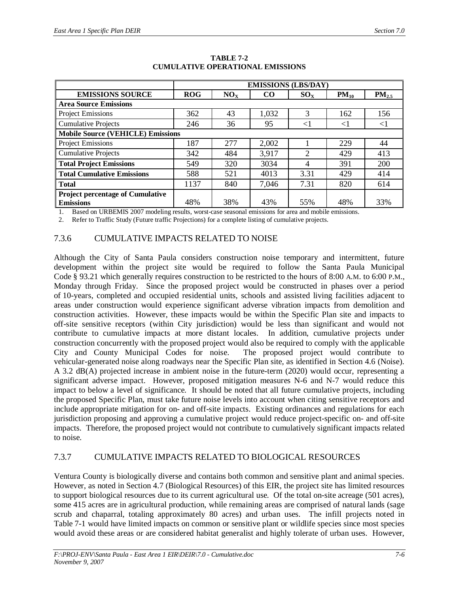|                                          | <b>EMISSIONS (LBS/DAY)</b> |                 |          |          |           |            |  |  |  |  |
|------------------------------------------|----------------------------|-----------------|----------|----------|-----------|------------|--|--|--|--|
| <b>EMISSIONS SOURCE</b>                  | <b>ROG</b>                 | NO <sub>x</sub> | $\rm CO$ | $SO_{X}$ | $PM_{10}$ | $PM_{2.5}$ |  |  |  |  |
| <b>Area Source Emissions</b>             |                            |                 |          |          |           |            |  |  |  |  |
| <b>Project Emissions</b>                 | 362                        | 43              | 1,032    | 3        | 162       | 156        |  |  |  |  |
| <b>Cumulative Projects</b>               | 246                        | 36              | 95       | $<$ 1    | $<$ l     | $\leq$     |  |  |  |  |
| <b>Mobile Source (VEHICLE) Emissions</b> |                            |                 |          |          |           |            |  |  |  |  |
| <b>Project Emissions</b>                 | 187                        | 277             | 2,002    |          | 229       | 44         |  |  |  |  |
| <b>Cumulative Projects</b>               | 342                        | 484             | 3,917    | 2        | 429       | 413        |  |  |  |  |
| <b>Total Project Emissions</b>           | 549                        | 320             | 3034     | 4        | 391       | 200        |  |  |  |  |
| <b>Total Cumulative Emissions</b>        | 588                        | 521             | 4013     | 3.31     | 429       | 414        |  |  |  |  |
| <b>Total</b>                             | 1137                       | 840             | 7,046    | 7.31     | 820       | 614        |  |  |  |  |
| <b>Project percentage of Cumulative</b>  |                            |                 |          |          |           |            |  |  |  |  |
| <b>Emissions</b>                         | 48%                        | 38%             | 43%      | 55%      | 48%       | 33%        |  |  |  |  |

#### **TABLE 7-2 CUMULATIVE OPERATIONAL EMISSIONS**

1. Based on URBEMIS 2007 modeling results, worst-case seasonal emissions for area and mobile emissions.

2. Refer to Traffic Study (Future traffic Projections) for a complete listing of cumulative projects.

#### 7.3.6 CUMULATIVE IMPACTS RELATED TO NOISE

Although the City of Santa Paula considers construction noise temporary and intermittent, future development within the project site would be required to follow the Santa Paula Municipal Code § 93.21 which generally requires construction to be restricted to the hours of 8:00 A.M. to 6:00 P.M., Monday through Friday. Since the proposed project would be constructed in phases over a period of 10-years, completed and occupied residential units, schools and assisted living facilities adjacent to areas under construction would experience significant adverse vibration impacts from demolition and construction activities. However, these impacts would be within the Specific Plan site and impacts to off-site sensitive receptors (within City jurisdiction) would be less than significant and would not contribute to cumulative impacts at more distant locales. In addition, cumulative projects under construction concurrently with the proposed project would also be required to comply with the applicable City and County Municipal Codes for noise. The proposed project would contribute to vehicular-generated noise along roadways near the Specific Plan site, as identified in Section 4.6 (Noise). A 3.2 dB(A) projected increase in ambient noise in the future-term (2020) would occur, representing a significant adverse impact. However, proposed mitigation measures N-6 and N-7 would reduce this impact to below a level of significance. It should be noted that all future cumulative projects, including the proposed Specific Plan, must take future noise levels into account when citing sensitive receptors and include appropriate mitigation for on- and off-site impacts. Existing ordinances and regulations for each jurisdiction proposing and approving a cumulative project would reduce project-specific on- and off-site impacts. Therefore, the proposed project would not contribute to cumulatively significant impacts related to noise.

### 7.3.7 CUMULATIVE IMPACTS RELATED TO BIOLOGICAL RESOURCES

Ventura County is biologically diverse and contains both common and sensitive plant and animal species. However, as noted in Section 4.7 (Biological Resources) of this EIR, the project site has limited resources to support biological resources due to its current agricultural use. Of the total on-site acreage (501 acres), some 415 acres are in agricultural production, while remaining areas are comprised of natural lands (sage scrub and chaparral, totaling approximately 80 acres) and urban uses. The infill projects noted in Table 7-1 would have limited impacts on common or sensitive plant or wildlife species since most species would avoid these areas or are considered habitat generalist and highly tolerate of urban uses. However,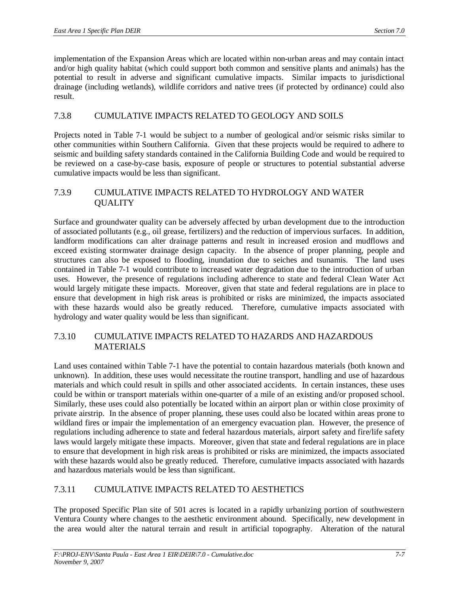implementation of the Expansion Areas which are located within non-urban areas and may contain intact and/or high quality habitat (which could support both common and sensitive plants and animals) has the potential to result in adverse and significant cumulative impacts. Similar impacts to jurisdictional drainage (including wetlands), wildlife corridors and native trees (if protected by ordinance) could also result.

### 7.3.8 CUMULATIVE IMPACTS RELATED TO GEOLOGY AND SOILS

Projects noted in Table 7-1 would be subject to a number of geological and/or seismic risks similar to other communities within Southern California. Given that these projects would be required to adhere to seismic and building safety standards contained in the California Building Code and would be required to be reviewed on a case-by-case basis, exposure of people or structures to potential substantial adverse cumulative impacts would be less than significant.

#### 7.3.9 CUMULATIVE IMPACTS RELATED TO HYDROLOGY AND WATER **OUALITY**

Surface and groundwater quality can be adversely affected by urban development due to the introduction of associated pollutants (e.g., oil grease, fertilizers) and the reduction of impervious surfaces. In addition, landform modifications can alter drainage patterns and result in increased erosion and mudflows and exceed existing stormwater drainage design capacity. In the absence of proper planning, people and structures can also be exposed to flooding, inundation due to seiches and tsunamis. The land uses contained in Table 7-1 would contribute to increased water degradation due to the introduction of urban uses. However, the presence of regulations including adherence to state and federal Clean Water Act would largely mitigate these impacts. Moreover, given that state and federal regulations are in place to ensure that development in high risk areas is prohibited or risks are minimized, the impacts associated with these hazards would also be greatly reduced. Therefore, cumulative impacts associated with hydrology and water quality would be less than significant.

## 7.3.10 CUMULATIVE IMPACTS RELATED TO HAZARDS AND HAZARDOUS MATERIALS

Land uses contained within Table 7-1 have the potential to contain hazardous materials (both known and unknown). In addition, these uses would necessitate the routine transport, handling and use of hazardous materials and which could result in spills and other associated accidents. In certain instances, these uses could be within or transport materials within one-quarter of a mile of an existing and/or proposed school. Similarly, these uses could also potentially be located within an airport plan or within close proximity of private airstrip. In the absence of proper planning, these uses could also be located within areas prone to wildland fires or impair the implementation of an emergency evacuation plan. However, the presence of regulations including adherence to state and federal hazardous materials, airport safety and fire/life safety laws would largely mitigate these impacts. Moreover, given that state and federal regulations are in place to ensure that development in high risk areas is prohibited or risks are minimized, the impacts associated with these hazards would also be greatly reduced. Therefore, cumulative impacts associated with hazards and hazardous materials would be less than significant.

# 7.3.11 CUMULATIVE IMPACTS RELATED TO AESTHETICS

The proposed Specific Plan site of 501 acres is located in a rapidly urbanizing portion of southwestern Ventura County where changes to the aesthetic environment abound. Specifically, new development in the area would alter the natural terrain and result in artificial topography. Alteration of the natural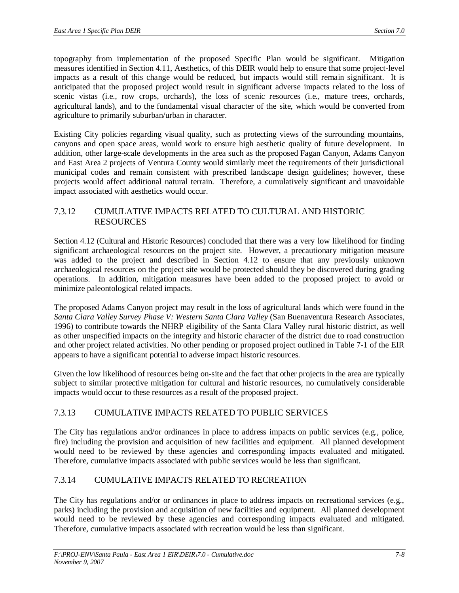topography from implementation of the proposed Specific Plan would be significant. Mitigation measures identified in Section 4.11, Aesthetics, of this DEIR would help to ensure that some project-level impacts as a result of this change would be reduced, but impacts would still remain significant. It is anticipated that the proposed project would result in significant adverse impacts related to the loss of scenic vistas (i.e., row crops, orchards), the loss of scenic resources (i.e., mature trees, orchards, agricultural lands), and to the fundamental visual character of the site, which would be converted from agriculture to primarily suburban/urban in character.

Existing City policies regarding visual quality, such as protecting views of the surrounding mountains, canyons and open space areas, would work to ensure high aesthetic quality of future development. In addition, other large-scale developments in the area such as the proposed Fagan Canyon, Adams Canyon and East Area 2 projects of Ventura County would similarly meet the requirements of their jurisdictional municipal codes and remain consistent with prescribed landscape design guidelines; however, these projects would affect additional natural terrain. Therefore, a cumulatively significant and unavoidable impact associated with aesthetics would occur.

### 7.3.12 CUMULATIVE IMPACTS RELATED TO CULTURAL AND HISTORIC RESOURCES

Section 4.12 (Cultural and Historic Resources) concluded that there was a very low likelihood for finding significant archaeological resources on the project site. However, a precautionary mitigation measure was added to the project and described in Section 4.12 to ensure that any previously unknown archaeological resources on the project site would be protected should they be discovered during grading operations. In addition, mitigation measures have been added to the proposed project to avoid or minimize paleontological related impacts.

The proposed Adams Canyon project may result in the loss of agricultural lands which were found in the *Santa Clara Valley Survey Phase V: Western Santa Clara Valley* (San Buenaventura Research Associates, 1996) to contribute towards the NHRP eligibility of the Santa Clara Valley rural historic district, as well as other unspecified impacts on the integrity and historic character of the district due to road construction and other project related activities. No other pending or proposed project outlined in Table 7-1 of the EIR appears to have a significant potential to adverse impact historic resources.

Given the low likelihood of resources being on-site and the fact that other projects in the area are typically subject to similar protective mitigation for cultural and historic resources, no cumulatively considerable impacts would occur to these resources as a result of the proposed project.

# 7.3.13 CUMULATIVE IMPACTS RELATED TO PUBLIC SERVICES

The City has regulations and/or ordinances in place to address impacts on public services (e.g., police, fire) including the provision and acquisition of new facilities and equipment. All planned development would need to be reviewed by these agencies and corresponding impacts evaluated and mitigated. Therefore, cumulative impacts associated with public services would be less than significant.

# 7.3.14 CUMULATIVE IMPACTS RELATED TO RECREATION

The City has regulations and/or or ordinances in place to address impacts on recreational services (e.g., parks) including the provision and acquisition of new facilities and equipment. All planned development would need to be reviewed by these agencies and corresponding impacts evaluated and mitigated. Therefore, cumulative impacts associated with recreation would be less than significant.